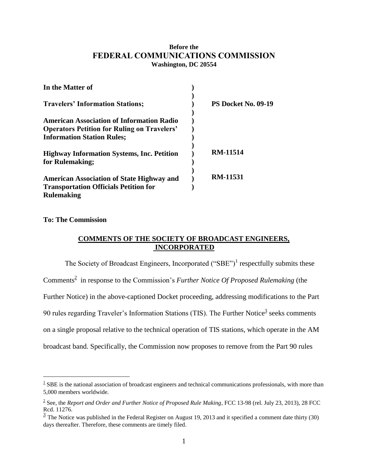## **Before the FEDERAL COMMUNICATIONS COMMISSION Washington, DC 20554**

| In the Matter of                                                                                                                            |                     |
|---------------------------------------------------------------------------------------------------------------------------------------------|---------------------|
| <b>Travelers' Information Stations;</b>                                                                                                     | PS Docket No. 09-19 |
| <b>American Association of Information Radio</b><br><b>Operators Petition for Ruling on Travelers'</b><br><b>Information Station Rules;</b> |                     |
| <b>Highway Information Systems, Inc. Petition</b><br>for Rulemaking;                                                                        | <b>RM-11514</b>     |
| <b>American Association of State Highway and</b><br><b>Transportation Officials Petition for</b><br><b>Rulemaking</b>                       | <b>RM-11531</b>     |

## **To: The Commission**

 $\overline{a}$ 

# **COMMENTS OF THE SOCIETY OF BROADCAST ENGINEERS, INCORPORATED**

The Society of Broadcast Engineers, Incorporated  $("SBE")^1$  respectfully submits these Comments<sup>2</sup> in response to the Commission's *Further Notice Of Proposed Rulemaking* (the Further Notice) in the above-captioned Docket proceeding, addressing modifications to the Part 90 rules regarding Traveler's Information Stations (TIS). The Further Notice<sup>3</sup> seeks comments on a single proposal relative to the technical operation of TIS stations, which operate in the AM broadcast band. Specifically, the Commission now proposes to remove from the Part 90 rules

 $1 \text{ }$  SBE is the national association of broadcast engineers and technical communications professionals, with more than 5,000 members worldwide.

<sup>2</sup> See, the *Report and Order and Further Notice of Proposed Rule Making*, FCC 13-98 (rel. July 23, 2013), 28 FCC Rcd. 11276.

 $\frac{3}{2}$  The Notice was published in the Federal Register on August 19, 2013 and it specified a comment date thirty (30) days thereafter. Therefore, these comments are timely filed.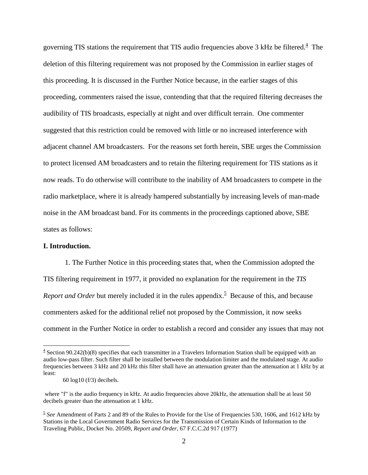governing TIS stations the requirement that TIS audio frequencies above 3 kHz be filtered. $4$  The deletion of this filtering requirement was not proposed by the Commission in earlier stages of this proceeding. It is discussed in the Further Notice because, in the earlier stages of this proceeding, commenters raised the issue, contending that that the required filtering decreases the audibility of TIS broadcasts, especially at night and over difficult terrain. One commenter suggested that this restriction could be removed with little or no increased interference with adjacent channel AM broadcasters. For the reasons set forth herein, SBE urges the Commission to protect licensed AM broadcasters and to retain the filtering requirement for TIS stations as it now reads. To do otherwise will contribute to the inability of AM broadcasters to compete in the radio marketplace, where it is already hampered substantially by increasing levels of man-made noise in the AM broadcast band. For its comments in the proceedings captioned above, SBE states as follows:

### **I. Introduction.**

 $\overline{a}$ 

1. The Further Notice in this proceeding states that, when the Commission adopted the TIS filtering requirement in 1977, it provided no explanation for the requirement in the *TIS Report and Order* but merely included it in the rules appendix.<sup>5</sup> Because of this, and because commenters asked for the additional relief not proposed by the Commission, it now seeks comment in the Further Notice in order to establish a record and consider any issues that may not

 $4$  Section 90.242(b)(8) specifies that each transmitter in a Travelers Information Station shall be equipped with an audio low-pass filter. Such filter shall be installed between the modulation limiter and the modulated stage. At audio frequencies between 3 kHz and 20 kHz this filter shall have an attenuation greater than the attenuation at 1 kHz by at least:

 <sup>60</sup> log10 (f/3) decibels.

where "f" is the audio frequency in kHz. At audio frequencies above 20kHz, the attenuation shall be at least 50 decibels greater than the attenuation at 1 kHz.

<sup>5</sup> *See* Amendment of Parts 2 and 89 of the Rules to Provide for the Use of Frequencies 530, 1606, and 1612 kHz by Stations in the Local Government Radio Services for the Transmission of Certain Kinds of Information to the Traveling Public, Docket No. 20509, *Report and Order*, 67 F.C.C.2d 917 (1977)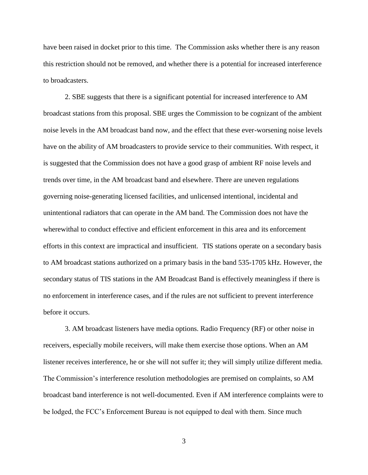have been raised in docket prior to this time. The Commission asks whether there is any reason this restriction should not be removed, and whether there is a potential for increased interference to broadcasters.

2. SBE suggests that there is a significant potential for increased interference to AM broadcast stations from this proposal. SBE urges the Commission to be cognizant of the ambient noise levels in the AM broadcast band now, and the effect that these ever-worsening noise levels have on the ability of AM broadcasters to provide service to their communities. With respect, it is suggested that the Commission does not have a good grasp of ambient RF noise levels and trends over time, in the AM broadcast band and elsewhere. There are uneven regulations governing noise-generating licensed facilities, and unlicensed intentional, incidental and unintentional radiators that can operate in the AM band. The Commission does not have the wherewithal to conduct effective and efficient enforcement in this area and its enforcement efforts in this context are impractical and insufficient. TIS stations operate on a secondary basis to AM broadcast stations authorized on a primary basis in the band 535-1705 kHz. However, the secondary status of TIS stations in the AM Broadcast Band is effectively meaningless if there is no enforcement in interference cases, and if the rules are not sufficient to prevent interference before it occurs.

3. AM broadcast listeners have media options. Radio Frequency (RF) or other noise in receivers, especially mobile receivers, will make them exercise those options. When an AM listener receives interference, he or she will not suffer it; they will simply utilize different media. The Commission's interference resolution methodologies are premised on complaints, so AM broadcast band interference is not well-documented. Even if AM interference complaints were to be lodged, the FCC's Enforcement Bureau is not equipped to deal with them. Since much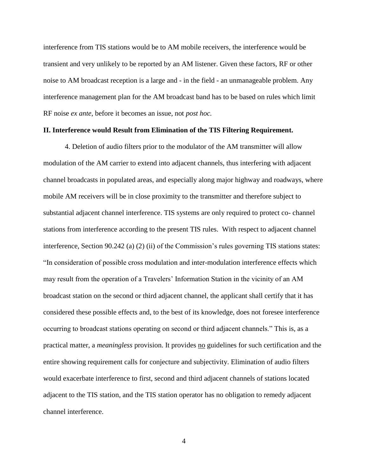interference from TIS stations would be to AM mobile receivers, the interference would be transient and very unlikely to be reported by an AM listener. Given these factors, RF or other noise to AM broadcast reception is a large and - in the field - an unmanageable problem. Any interference management plan for the AM broadcast band has to be based on rules which limit RF noise *ex ante*, before it becomes an issue, not *post hoc.*

#### **II. Interference would Result from Elimination of the TIS Filtering Requirement.**

4. Deletion of audio filters prior to the modulator of the AM transmitter will allow modulation of the AM carrier to extend into adjacent channels, thus interfering with adjacent channel broadcasts in populated areas, and especially along major highway and roadways, where mobile AM receivers will be in close proximity to the transmitter and therefore subject to substantial adjacent channel interference. TIS systems are only required to protect co- channel stations from interference according to the present TIS rules. With respect to adjacent channel interference, Section 90.242 (a) (2) (ii) of the Commission's rules governing TIS stations states: "In consideration of possible cross modulation and inter-modulation interference effects which may result from the operation of a Travelers' Information Station in the vicinity of an AM broadcast station on the second or third adjacent channel, the applicant shall certify that it has considered these possible effects and, to the best of its knowledge, does not foresee interference occurring to broadcast stations operating on second or third adjacent channels." This is, as a practical matter, a *meaningless* provision. It provides no guidelines for such certification and the entire showing requirement calls for conjecture and subjectivity. Elimination of audio filters would exacerbate interference to first, second and third adjacent channels of stations located adjacent to the TIS station, and the TIS station operator has no obligation to remedy adjacent channel interference.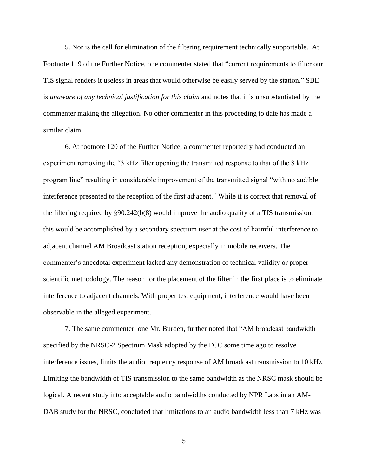5. Nor is the call for elimination of the filtering requirement technically supportable. At Footnote 119 of the Further Notice, one commenter stated that "current requirements to filter our TIS signal renders it useless in areas that would otherwise be easily served by the station." SBE is *unaware of any technical justification for this claim* and notes that it is unsubstantiated by the commenter making the allegation. No other commenter in this proceeding to date has made a similar claim.

6. At footnote 120 of the Further Notice, a commenter reportedly had conducted an experiment removing the "3 kHz filter opening the transmitted response to that of the 8 kHz program line" resulting in considerable improvement of the transmitted signal "with no audible interference presented to the reception of the first adjacent." While it is correct that removal of the filtering required by §90.242(b(8) would improve the audio quality of a TIS transmission, this would be accomplished by a secondary spectrum user at the cost of harmful interference to adjacent channel AM Broadcast station reception, expecially in mobile receivers. The commenter's anecdotal experiment lacked any demonstration of technical validity or proper scientific methodology. The reason for the placement of the filter in the first place is to eliminate interference to adjacent channels. With proper test equipment, interference would have been observable in the alleged experiment.

7. The same commenter, one Mr. Burden, further noted that "AM broadcast bandwidth specified by the NRSC-2 Spectrum Mask adopted by the FCC some time ago to resolve interference issues, limits the audio frequency response of AM broadcast transmission to 10 kHz. Limiting the bandwidth of TIS transmission to the same bandwidth as the NRSC mask should be logical. A recent study into acceptable audio bandwidths conducted by NPR Labs in an AM-DAB study for the NRSC, concluded that limitations to an audio bandwidth less than 7 kHz was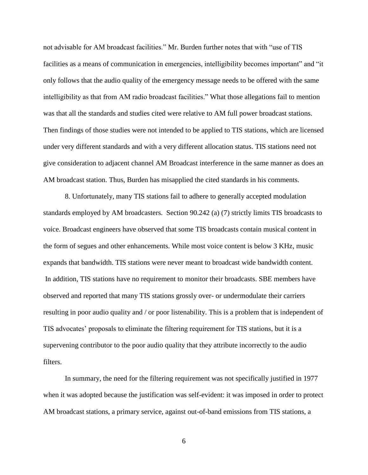not advisable for AM broadcast facilities." Mr. Burden further notes that with "use of TIS facilities as a means of communication in emergencies, intelligibility becomes important" and "it only follows that the audio quality of the emergency message needs to be offered with the same intelligibility as that from AM radio broadcast facilities." What those allegations fail to mention was that all the standards and studies cited were relative to AM full power broadcast stations. Then findings of those studies were not intended to be applied to TIS stations, which are licensed under very different standards and with a very different allocation status. TIS stations need not give consideration to adjacent channel AM Broadcast interference in the same manner as does an AM broadcast station. Thus, Burden has misapplied the cited standards in his comments.

8. Unfortunately, many TIS stations fail to adhere to generally accepted modulation standards employed by AM broadcasters. Section 90.242 (a) (7) strictly limits TIS broadcasts to voice. Broadcast engineers have observed that some TIS broadcasts contain musical content in the form of segues and other enhancements. While most voice content is below 3 KHz, music expands that bandwidth. TIS stations were never meant to broadcast wide bandwidth content. In addition, TIS stations have no requirement to monitor their broadcasts. SBE members have observed and reported that many TIS stations grossly over- or undermodulate their carriers resulting in poor audio quality and / or poor listenability. This is a problem that is independent of TIS advocates' proposals to eliminate the filtering requirement for TIS stations, but it is a supervening contributor to the poor audio quality that they attribute incorrectly to the audio filters.

In summary, the need for the filtering requirement was not specifically justified in 1977 when it was adopted because the justification was self-evident: it was imposed in order to protect AM broadcast stations, a primary service, against out-of-band emissions from TIS stations, a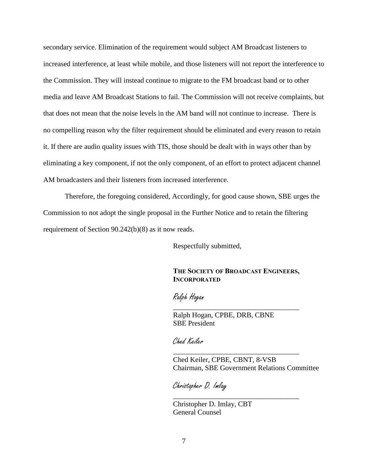secondary service. Elimination of the requirement would subject AM Broadcast listeners to increased interference, at least while mobile, and those listeners will not report the interference to the Commission. They will instead continue to migrate to the FM broadcast band or to other media and leave AM Broadcast Stations to fail. The Commission will not receive complaints, but that does not mean that the noise levels in the AM band will not continue to increase. There is no compelling reason why the filter requirement should be eliminated and every reason to retain it. If there are audio quality issues with TIS, those should be dealt with in ways other than by eliminating a key component, if not the only component, of an effort to protect adjacent channel AM broadcasters and their listeners from increased interference.

Therefore, the foregoing considered, Accordingly, for good cause shown, SBE urges the Commission to not adopt the single proposal in the Further Notice and to retain the filtering requirement of Section 90.242(b)(8) as it now reads.

Respectfully submitted,

## **THE SOCIETY OF BROADCAST ENGINEERS, INCORPORATED**

\_\_\_\_\_\_\_\_\_\_\_\_\_\_\_\_\_\_\_\_\_\_\_\_\_\_\_\_\_\_\_\_\_\_\_

\_\_\_\_\_\_\_\_\_\_\_\_\_\_\_\_\_\_\_\_\_\_\_\_\_\_\_\_\_\_\_\_\_\_\_

\_\_\_\_\_\_\_\_\_\_\_\_\_\_\_\_\_\_\_\_\_\_\_\_\_\_\_\_\_\_\_\_\_\_\_

Ralph Hogan

Ralph Hogan, CPBE, DRB, CBNE SBE President

Ched Keiler

Ched Keiler, CPBE, CBNT, 8-VSB Chairman, SBE Government Relations Committee

Christopher D. Imlay

Christopher D. Imlay, CBT General Counsel